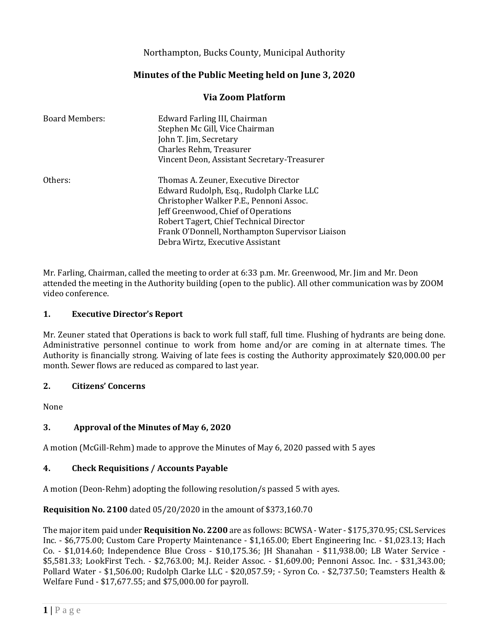Northampton, Bucks County, Municipal Authority

# **Minutes of the Public Meeting held on June 3, 2020**

# **Via Zoom Platform**

| <b>Board Members:</b> | Edward Farling III, Chairman<br>Stephen Mc Gill, Vice Chairman<br>John T. Jim, Secretary<br>Charles Rehm, Treasurer<br>Vincent Deon, Assistant Secretary-Treasurer |
|-----------------------|--------------------------------------------------------------------------------------------------------------------------------------------------------------------|
| Others:               | Thomas A. Zeuner, Executive Director                                                                                                                               |
|                       | Edward Rudolph, Esq., Rudolph Clarke LLC                                                                                                                           |
|                       | Christopher Walker P.E., Pennoni Assoc.                                                                                                                            |
|                       | Jeff Greenwood, Chief of Operations                                                                                                                                |
|                       | Robert Tagert, Chief Technical Director                                                                                                                            |
|                       | Frank O'Donnell, Northampton Supervisor Liaison                                                                                                                    |
|                       | Debra Wirtz, Executive Assistant                                                                                                                                   |

Mr. Farling, Chairman, called the meeting to order at 6:33 p.m. Mr. Greenwood, Mr. Jim and Mr. Deon attended the meeting in the Authority building (open to the public). All other communication was by ZOOM video conference.

### **1. Executive Director's Report**

Mr. Zeuner stated that Operations is back to work full staff, full time. Flushing of hydrants are being done. Administrative personnel continue to work from home and/or are coming in at alternate times. The Authority is financially strong. Waiving of late fees is costing the Authority approximately \$20,000.00 per month. Sewer flows are reduced as compared to last year.

#### **2. Citizens' Concerns**

None

# **3. Approval of the Minutes of May 6, 2020**

A motion (McGill-Rehm) made to approve the Minutes of May 6, 2020 passed with 5 ayes

# **4. Check Requisitions / Accounts Payable**

A motion (Deon-Rehm) adopting the following resolution/s passed 5 with ayes.

# **Requisition No. 2100** dated 05/20/2020 in the amount of \$373,160.70

The major item paid under **Requisition No. 2200** are as follows: BCWSA - Water - \$175,370.95; CSL Services Inc. - \$6,775.00; Custom Care Property Maintenance - \$1,165.00; Ebert Engineering Inc. - \$1,023.13; Hach Co. - \$1,014.60; Independence Blue Cross - \$10,175.36; JH Shanahan - \$11,938.00; LB Water Service - \$5,581.33; LookFirst Tech. - \$2,763.00; M.J. Reider Assoc. - \$1,609.00; Pennoni Assoc. Inc. - \$31,343.00; Pollard Water - \$1,506.00; Rudolph Clarke LLC - \$20,057.59; - Syron Co. - \$2,737.50; Teamsters Health & Welfare Fund - \$17,677.55; and \$75,000.00 for payroll.